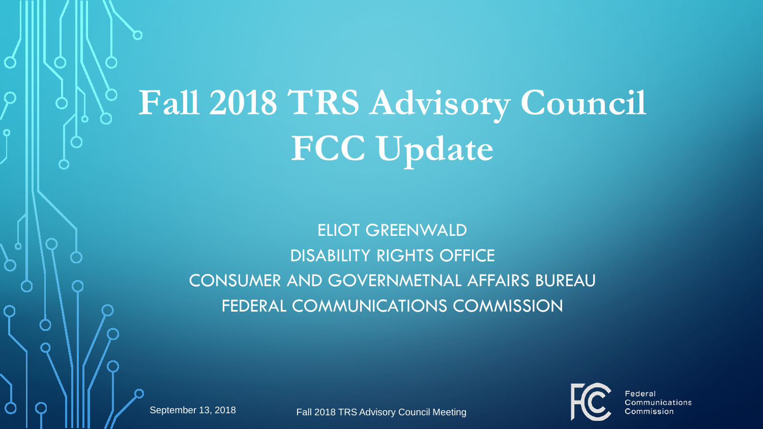# **Fall 2018 TRS Advisory Council FCC Update**

#### ELIOT GREENWALD DISABILITY RIGHTS OFFICE CONSUMER AND GOVERNMETNAL AFFAIRS BUREAU FEDERAL COMMUNICATIONS COMMISSION

September 13, 2018 **Fall 2018 TRS Advisory Council Meeting** 



Federa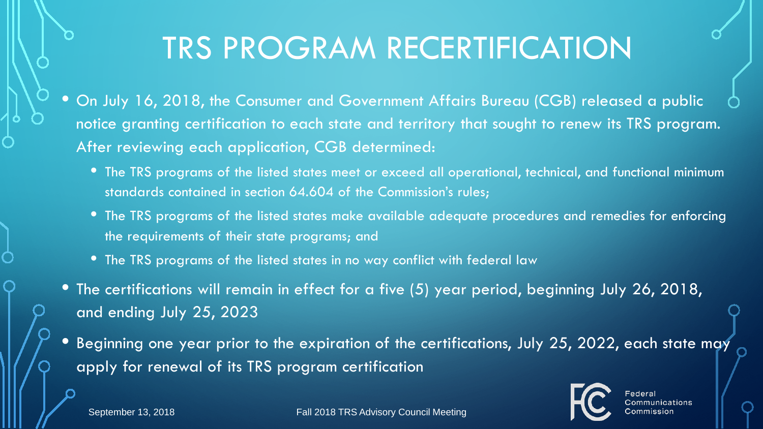#### TRS PROGRAM RECERTIFICATION

- On July 16, 2018, the Consumer and Government Affairs Bureau (CGB) released a public notice granting certification to each state and territory that sought to renew its TRS program. After reviewing each application, CGB determined:
	- The TRS programs of the listed states meet or exceed all operational, technical, and functional minimum standards contained in section 64.604 of the Commission's rules;
	- The TRS programs of the listed states make available adequate procedures and remedies for enforcing the requirements of their state programs; and
	- The TRS programs of the listed states in no way conflict with federal law
- The certifications will remain in effect for a five (5) year period, beginning July 26, 2018, and ending July 25, 2023
- Beginning one year prior to the expiration of the certifications, July 25, 2022, each state may apply for renewal of its TRS program certification

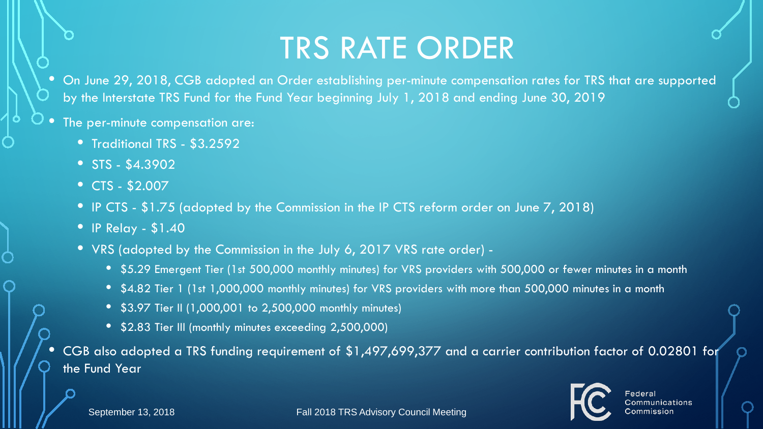#### TRS RATE ORDER

• On June 29, 2018, CGB adopted an Order establishing per-minute compensation rates for TRS that are supported by the Interstate TRS Fund for the Fund Year beginning July 1, 2018 and ending June 30, 2019

- The per-minute compensation are:
	- Traditional TRS \$3.2592
	- STS \$4.3902
	- CTS \$2.007
	- IP CTS \$1.75 (adopted by the Commission in the IP CTS reform order on June 7, 2018)
	- IP Relay \$1.40
	- VRS (adopted by the Commission in the July 6, 2017 VRS rate order)
		- \$5.29 Emergent Tier (1st 500,000 monthly minutes) for VRS providers with 500,000 or fewer minutes in a month
		- \$4.82 Tier 1 (1st 1,000,000 monthly minutes) for VRS providers with more than 500,000 minutes in a month
		- \$3.97 Tier II (1,000,001 to 2,500,000 monthly minutes)
		- \$2.83 Tier III (monthly minutes exceeding 2,500,000)

• CGB also adopted a TRS funding requirement of \$1,497,699,377 and a carrier contribution factor of 0.02801 for the Fund Year

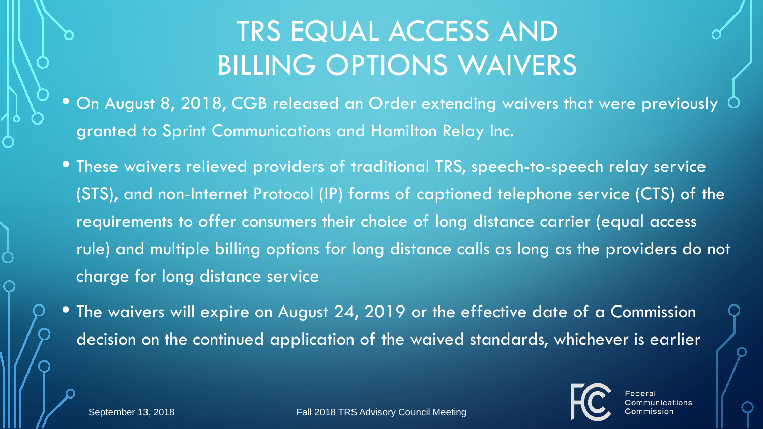#### TRS EQUAL ACCESS AND BILLING OPTIONS WAIVERS

- $\bullet$  On August 8, 2018, CGB released an Order extending waivers that were previously  $\circlearrowleft$ granted to Sprint Communications and Hamilton Relay Inc.
- These waivers relieved providers of traditional TRS, speech-to-speech relay service (STS), and non-Internet Protocol (IP) forms of captioned telephone service (CTS) of the requirements to offer consumers their choice of long distance carrier (equal access rule) and multiple billing options for long distance calls as long as the providers do not charge for long distance service
- The waivers will expire on August 24, 2019 or the effective date of a Commission decision on the continued application of the waived standards, whichever is earlier



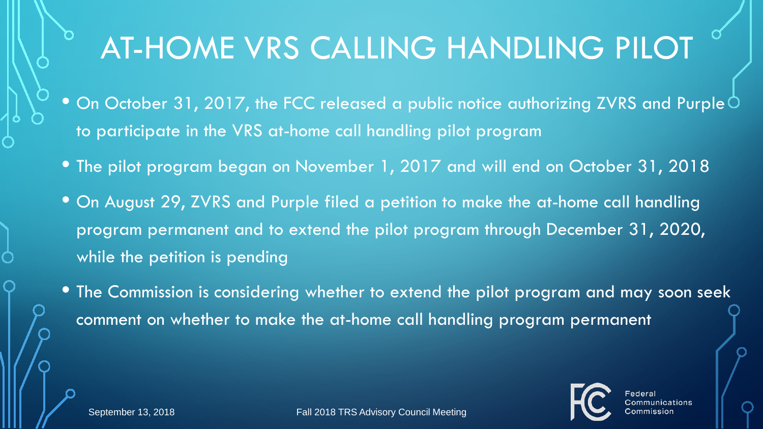## AT-HOME VRS CALLING HANDLING PILOT

- $\bullet$  On October 31, 2017, the FCC released a public notice authorizing ZVRS and Purple  $\circ$ to participate in the VRS at-home call handling pilot program
- The pilot program began on November 1, 2017 and will end on October 31, 2018
- On August 29, ZVRS and Purple filed a petition to make the at-home call handling program permanent and to extend the pilot program through December 31, 2020, while the petition is pending
- The Commission is considering whether to extend the pilot program and may soon seek comment on whether to make the at-home call handling program permanent





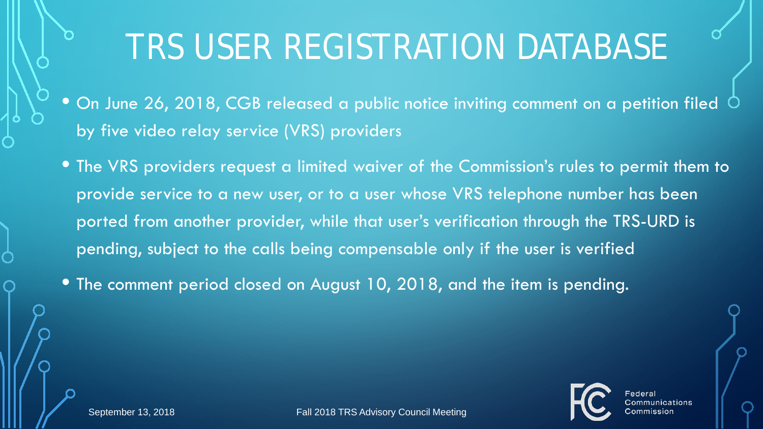## TRS USER REGISTRATION DATABASE

- $\bullet$  On June 26, 2018, CGB released a public notice inviting comment on a petition filed  $\circ$ by five video relay service (VRS) providers
- The VRS providers request a limited waiver of the Commission's rules to permit them to provide service to a new user, or to a user whose VRS telephone number has been ported from another provider, while that user's verification through the TRS-URD is pending, subject to the calls being compensable only if the user is verified

• The comment period closed on August 10, 2018, and the item is pending.



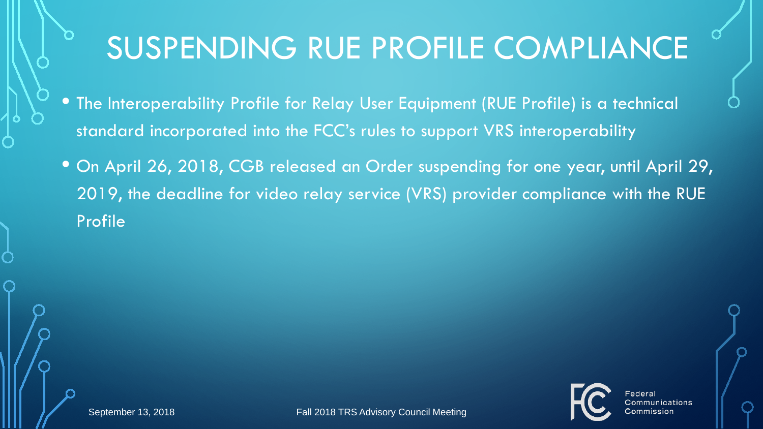## SUSPENDING RUE PROFILE COMPLIANCE

- The Interoperability Profile for Relay User Equipment (RUE Profile) is a technical standard incorporated into the FCC's rules to support VRS interoperability
- On April 26, 2018, CGB released an Order suspending for one year, until April 29, 2019, the deadline for video relay service (VRS) provider compliance with the RUE Profile



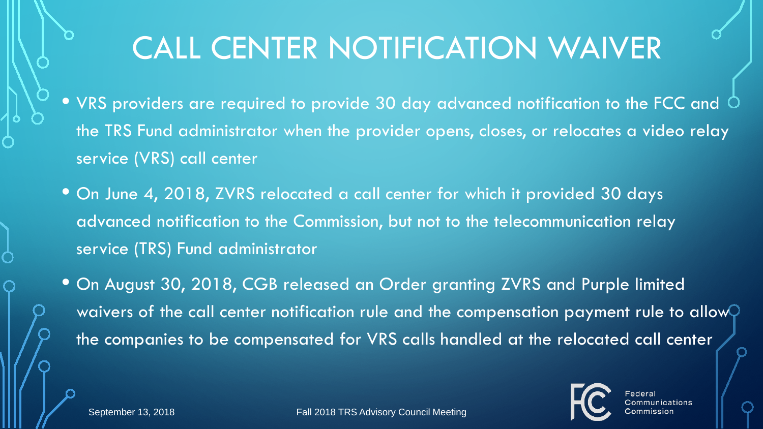### CALL CENTER NOTIFICATION WAIVER

- VRS providers are required to provide 30 day advanced notification to the FCC and  $\circ$ the TRS Fund administrator when the provider opens, closes, or relocates a video relay service (VRS) call center
- On June 4, 2018, ZVRS relocated a call center for which it provided 30 days advanced notification to the Commission, but not to the telecommunication relay service (TRS) Fund administrator
- On August 30, 2018, CGB released an Order granting ZVRS and Purple limited waivers of the call center notification rule and the compensation payment rule to allow $\bigcirc$ the companies to be compensated for VRS calls handled at the relocated call center

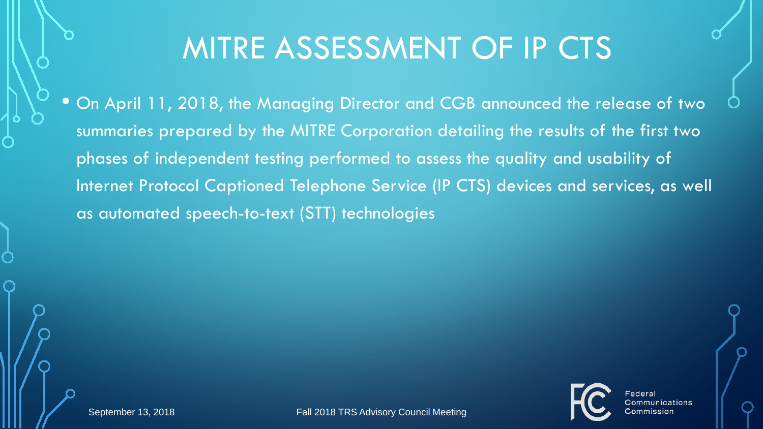#### MITRE ASSESSMENT OF IP CTS

• On April 11, 2018, the Managing Director and CGB announced the release of two summaries prepared by the MITRE Corporation detailing the results of the first two phases of independent testing performed to assess the quality and usability of Internet Protocol Captioned Telephone Service (IP CTS) devices and services, as well as automated speech-to-text (STT) technologies



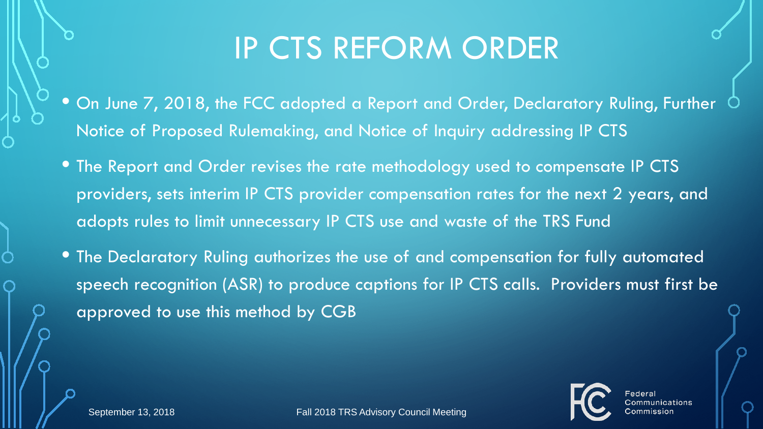#### IP CTS REFORM ORDER

- $\bullet$  On June 7, 2018, the FCC adopted a Report and Order, Declaratory Ruling, Further  $\circlearrowleft$ Notice of Proposed Rulemaking, and Notice of Inquiry addressing IP CTS
- The Report and Order revises the rate methodology used to compensate IP CTS providers, sets interim IP CTS provider compensation rates for the next 2 years, and adopts rules to limit unnecessary IP CTS use and waste of the TRS Fund
- The Declaratory Ruling authorizes the use of and compensation for fully automated speech recognition (ASR) to produce captions for IP CTS calls. Providers must first be approved to use this method by CGB

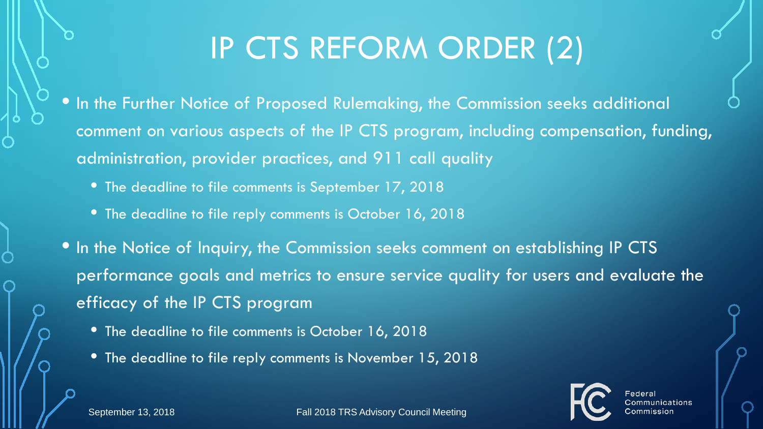## IP CTS REFORM ORDER (2)

- In the Further Notice of Proposed Rulemaking, the Commission seeks additional comment on various aspects of the IP CTS program, including compensation, funding, administration, provider practices, and 911 call quality
	- The deadline to file comments is September 17, 2018
	- The deadline to file reply comments is October 16, 2018
- In the Notice of Inquiry, the Commission seeks comment on establishing IP CTS performance goals and metrics to ensure service quality for users and evaluate the efficacy of the IP CTS program
	- The deadline to file comments is October 16, 2018
	- The deadline to file reply comments is November 15, 2018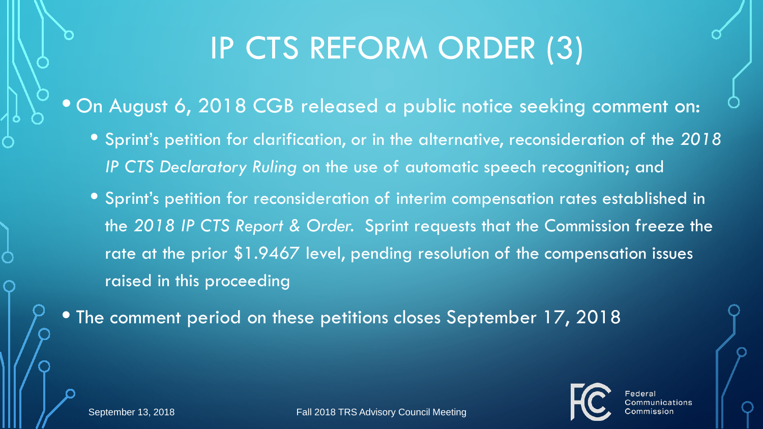## IP CTS REFORM ORDER (3)

• On August 6, 2018 CGB released a public notice seeking comment on:

- Sprint's petition for clarification, or in the alternative, reconsideration of the *2018 IP CTS Declaratory Ruling* on the use of automatic speech recognition; and
- Sprint's petition for reconsideration of interim compensation rates established in the *2018 IP CTS Report & Order.* Sprint requests that the Commission freeze the rate at the prior \$1.9467 level, pending resolution of the compensation issues raised in this proceeding

• The comment period on these petitions closes September 17, 2018

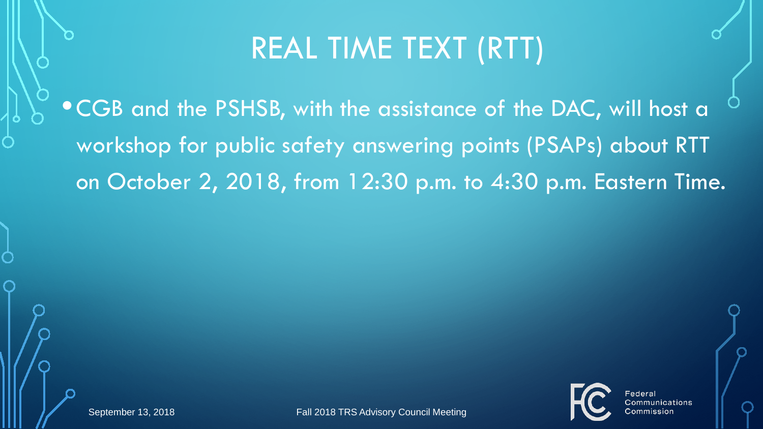#### REAL TIME TEXT (RTT)

•CGB and the PSHSB, with the assistance of the DAC, will host a workshop for public safety answering points (PSAPs) about RTT on October 2, 2018, from 12:30 p.m. to 4:30 p.m. Eastern Time.



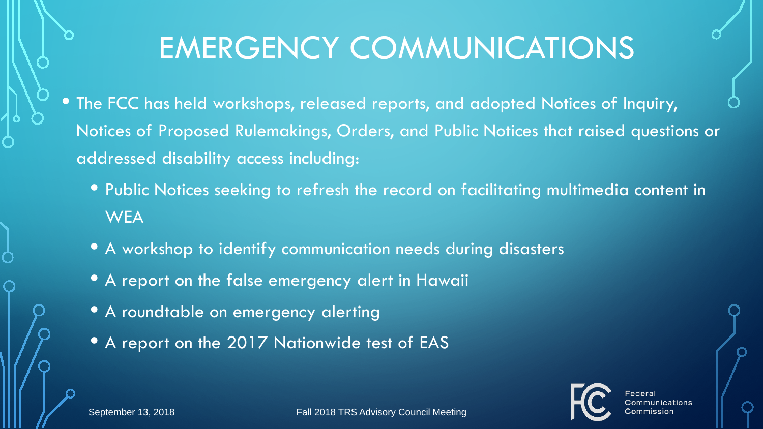## EMERGENCY COMMUNICATIONS

- The FCC has held workshops, released reports, and adopted Notices of Inquiry, Notices of Proposed Rulemakings, Orders, and Public Notices that raised questions or addressed disability access including:
	- Public Notices seeking to refresh the record on facilitating multimedia content in **WEA**
	- A workshop to identify communication needs during disasters
	- A report on the false emergency alert in Hawaii
	- A roundtable on emergency alerting
	- A report on the 2017 Nationwide test of EAS

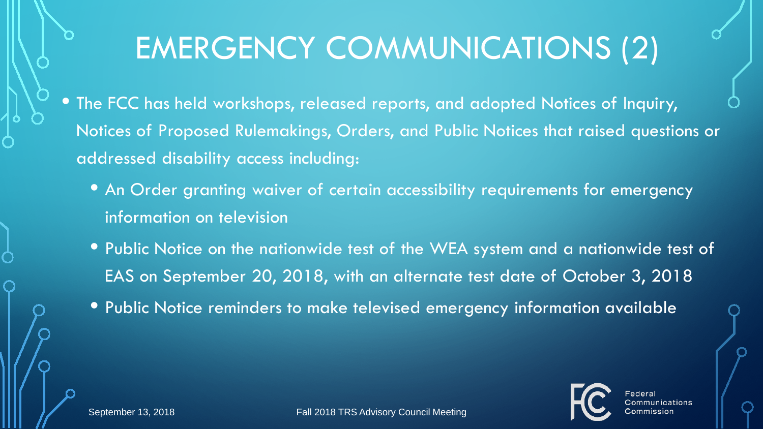## EMERGENCY COMMUNICATIONS (2)

- The FCC has held workshops, released reports, and adopted Notices of Inquiry, Notices of Proposed Rulemakings, Orders, and Public Notices that raised questions or addressed disability access including:
	- An Order granting waiver of certain accessibility requirements for emergency information on television
	- Public Notice on the nationwide test of the WEA system and a nationwide test of EAS on September 20, 2018, with an alternate test date of October 3, 2018
	- Public Notice reminders to make televised emergency information available

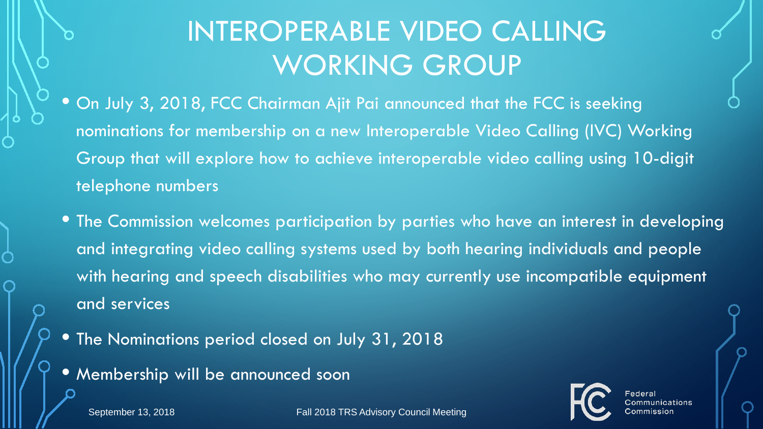#### INTEROPERABLE VIDEO CALLING WORKING GROUP

- On July 3, 2018, FCC Chairman Ajit Pai announced that the FCC is seeking nominations for membership on a new Interoperable Video Calling (IVC) Working Group that will explore how to achieve interoperable video calling using 10-digit telephone numbers
- The Commission welcomes participation by parties who have an interest in developing and integrating video calling systems used by both hearing individuals and people with hearing and speech disabilities who may currently use incompatible equipment and services
- The Nominations period closed on July 31, 2018
- Membership will be announced soon

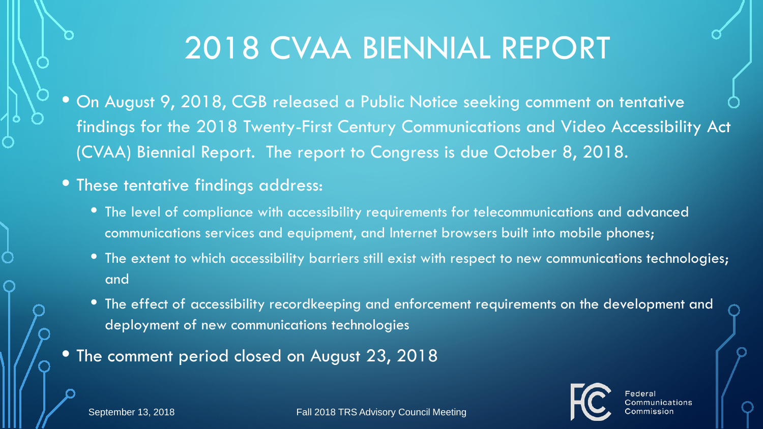## 2018 CVAA BIENNIAL REPORT

- On August 9, 2018, CGB released a Public Notice seeking comment on tentative findings for the 2018 Twenty-First Century Communications and Video Accessibility Act (CVAA) Biennial Report. The report to Congress is due October 8, 2018.
- These tentative findings address:
	- The level of compliance with accessibility requirements for telecommunications and advanced communications services and equipment, and Internet browsers built into mobile phones;
	- The extent to which accessibility barriers still exist with respect to new communications technologies; and
	- The effect of accessibility recordkeeping and enforcement requirements on the development and deployment of new communications technologies
- The comment period closed on August 23, 2018

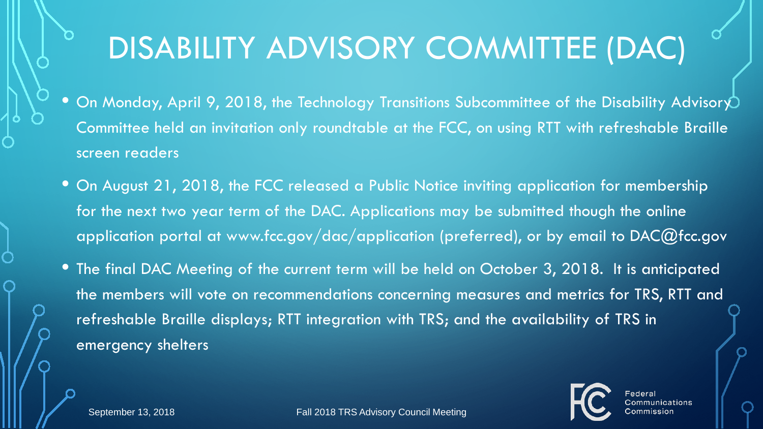## DISABILITY ADVISORY COMMITTEE (DAC)

- On Monday, April 9, 2018, the Technology Transitions Subcommittee of the Disability Advisory Committee held an invitation only roundtable at the FCC, on using RTT with refreshable Braille screen readers
- On August 21, 2018, the FCC released a Public Notice inviting application for membership for the next two year term of the DAC. Applications may be submitted though the online application portal at www.fcc.gov/dac/application (preferred), or by email to DAC@fcc.gov
- The final DAC Meeting of the current term will be held on October 3, 2018. It is anticipated the members will vote on recommendations concerning measures and metrics for TRS, RTT and refreshable Braille displays; RTT integration with TRS; and the availability of TRS in emergency shelters

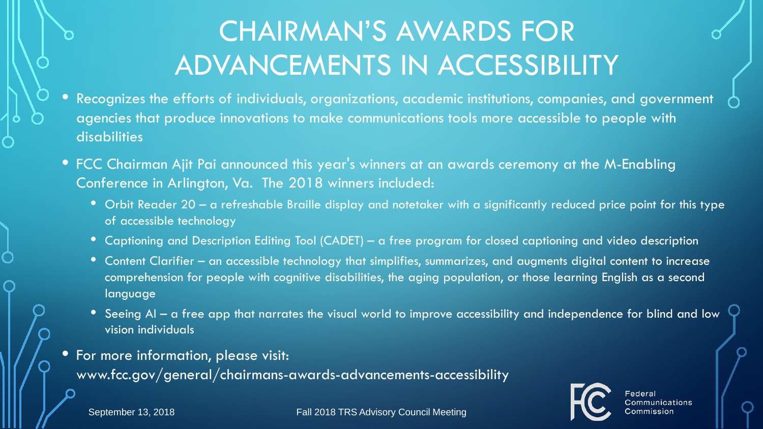#### CHAIRMAN'S AWARDS FOR ADVANCEMENTS IN ACCESSIBILITY

- Recognizes the efforts of individuals, organizations, academic institutions, companies, and government agencies that produce innovations to make communications tools more accessible to people with disabilities
- FCC Chairman Ajit Pai announced this year's winners at an awards ceremony at the M-Enabling Conference in Arlington, Va. The 2018 winners included:
	- Orbit Reader 20 a refreshable Braille display and notetaker with a significantly reduced price point for this type of accessible technology
	- Captioning and Description Editing Tool (CADET) a free program for closed captioning and video description
	- Content Clarifier an accessible technology that simplifies, summarizes, and augments digital content to increase comprehension for people with cognitive disabilities, the aging population, or those learning English as a second language
	- Seeing AI a free app that narrates the visual world to improve accessibility and independence for blind and low vision individuals
- For more information, please visit: www.fcc.gov/general/chairmans-awards-advancements-accessibility

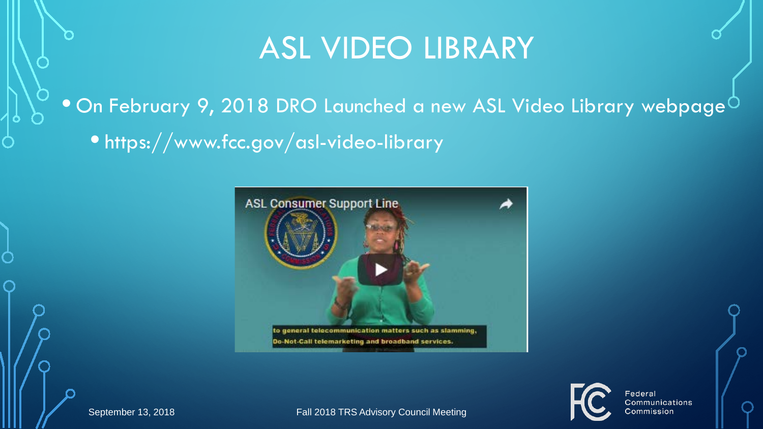#### ASL VIDEO LIBRARY

#### $\bullet$  On February 9, 2018 DRO Launched a new ASL Video Library webpage $^\circ$ • https://www.fcc.gov/asl-video-library



September 13, 2018 Fall 2018 TRS Advisory Council Meeting



Federal Communications ∶ommission